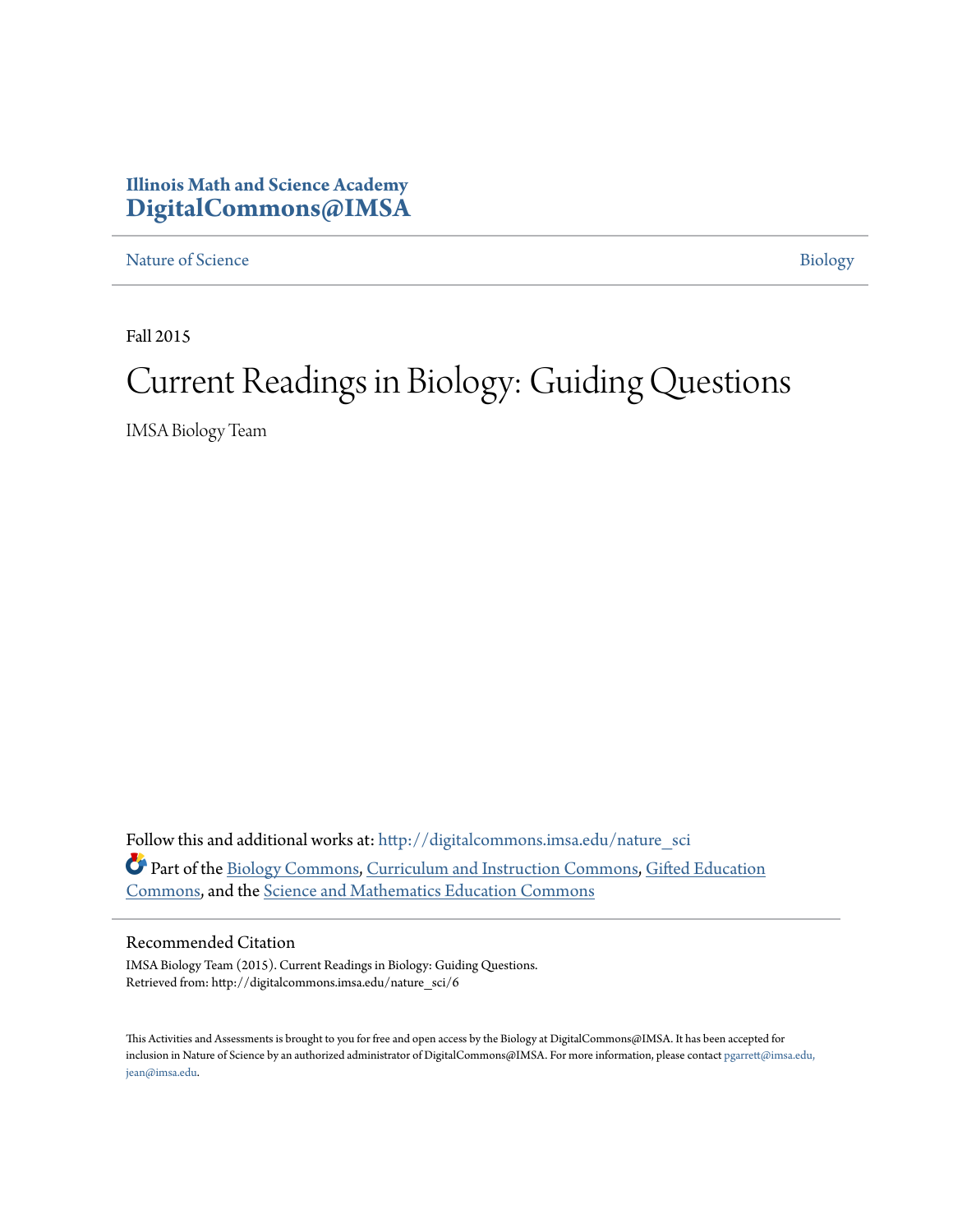## **Illinois Math and Science Academy [DigitalCommons@IMSA](http://digitalcommons.imsa.edu?utm_source=digitalcommons.imsa.edu%2Fnature_sci%2F6&utm_medium=PDF&utm_campaign=PDFCoverPages)**

[Nature of Science](http://digitalcommons.imsa.edu/nature_sci?utm_source=digitalcommons.imsa.edu%2Fnature_sci%2F6&utm_medium=PDF&utm_campaign=PDFCoverPages) [Biology](http://digitalcommons.imsa.edu/biology_tr?utm_source=digitalcommons.imsa.edu%2Fnature_sci%2F6&utm_medium=PDF&utm_campaign=PDFCoverPages)

Fall 2015

## Current Readings in Biology: Guiding Questions

IMSA Biology Team

Follow this and additional works at: [http://digitalcommons.imsa.edu/nature\\_sci](http://digitalcommons.imsa.edu/nature_sci?utm_source=digitalcommons.imsa.edu%2Fnature_sci%2F6&utm_medium=PDF&utm_campaign=PDFCoverPages) Part of the [Biology Commons,](http://network.bepress.com/hgg/discipline/41?utm_source=digitalcommons.imsa.edu%2Fnature_sci%2F6&utm_medium=PDF&utm_campaign=PDFCoverPages) [Curriculum and Instruction Commons](http://network.bepress.com/hgg/discipline/786?utm_source=digitalcommons.imsa.edu%2Fnature_sci%2F6&utm_medium=PDF&utm_campaign=PDFCoverPages), [Gifted Education](http://network.bepress.com/hgg/discipline/1048?utm_source=digitalcommons.imsa.edu%2Fnature_sci%2F6&utm_medium=PDF&utm_campaign=PDFCoverPages) [Commons,](http://network.bepress.com/hgg/discipline/1048?utm_source=digitalcommons.imsa.edu%2Fnature_sci%2F6&utm_medium=PDF&utm_campaign=PDFCoverPages) and the [Science and Mathematics Education Commons](http://network.bepress.com/hgg/discipline/800?utm_source=digitalcommons.imsa.edu%2Fnature_sci%2F6&utm_medium=PDF&utm_campaign=PDFCoverPages)

## Recommended Citation

IMSA Biology Team (2015). Current Readings in Biology: Guiding Questions. Retrieved from: http://digitalcommons.imsa.edu/nature\_sci/6

This Activities and Assessments is brought to you for free and open access by the Biology at DigitalCommons@IMSA. It has been accepted for inclusion in Nature of Science by an authorized administrator of DigitalCommons@IMSA. For more information, please contact [pgarrett@imsa.edu,](mailto:pgarrett@imsa.edu,%20jean@imsa.edu) [jean@imsa.edu.](mailto:pgarrett@imsa.edu,%20jean@imsa.edu)